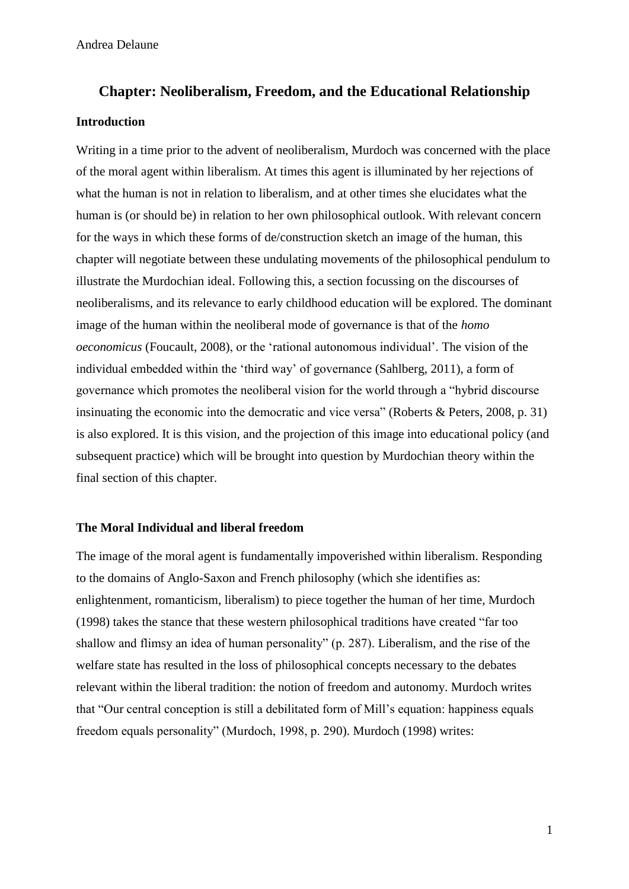# **Chapter: Neoliberalism, Freedom, and the Educational Relationship Introduction**

Writing in a time prior to the advent of neoliberalism, Murdoch was concerned with the place of the moral agent within liberalism. At times this agent is illuminated by her rejections of what the human is not in relation to liberalism, and at other times she elucidates what the human is (or should be) in relation to her own philosophical outlook. With relevant concern for the ways in which these forms of de/construction sketch an image of the human, this chapter will negotiate between these undulating movements of the philosophical pendulum to illustrate the Murdochian ideal. Following this, a section focussing on the discourses of neoliberalisms, and its relevance to early childhood education will be explored. The dominant image of the human within the neoliberal mode of governance is that of the *homo oeconomicus* (Foucault, 2008), or the 'rational autonomous individual'. The vision of the individual embedded within the 'third way' of governance (Sahlberg, 2011), a form of governance which promotes the neoliberal vision for the world through a "hybrid discourse insinuating the economic into the democratic and vice versa" (Roberts & Peters, 2008, p. 31) is also explored. It is this vision, and the projection of this image into educational policy (and subsequent practice) which will be brought into question by Murdochian theory within the final section of this chapter.

# **The Moral Individual and liberal freedom**

The image of the moral agent is fundamentally impoverished within liberalism. Responding to the domains of Anglo-Saxon and French philosophy (which she identifies as: enlightenment, romanticism, liberalism) to piece together the human of her time, Murdoch (1998) takes the stance that these western philosophical traditions have created "far too shallow and flimsy an idea of human personality" (p. 287). Liberalism, and the rise of the welfare state has resulted in the loss of philosophical concepts necessary to the debates relevant within the liberal tradition: the notion of freedom and autonomy. Murdoch writes that "Our central conception is still a debilitated form of Mill's equation: happiness equals freedom equals personality" (Murdoch, 1998, p. 290). Murdoch (1998) writes: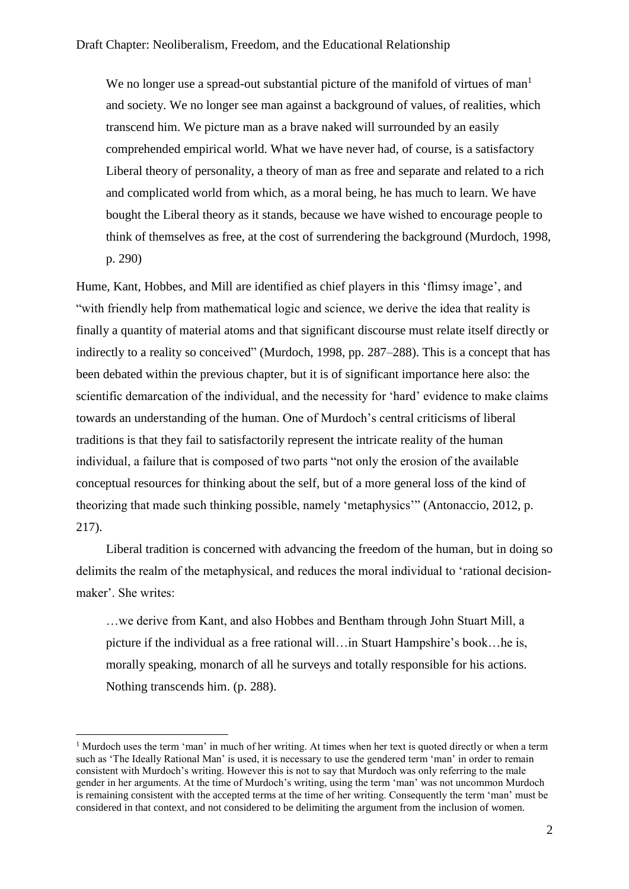We no longer use a spread-out substantial picture of the manifold of virtues of man<sup>1</sup> and society. We no longer see man against a background of values, of realities, which transcend him. We picture man as a brave naked will surrounded by an easily comprehended empirical world. What we have never had, of course, is a satisfactory Liberal theory of personality, a theory of man as free and separate and related to a rich and complicated world from which, as a moral being, he has much to learn. We have bought the Liberal theory as it stands, because we have wished to encourage people to think of themselves as free, at the cost of surrendering the background (Murdoch, 1998, p. 290)

Hume, Kant, Hobbes, and Mill are identified as chief players in this 'flimsy image', and "with friendly help from mathematical logic and science, we derive the idea that reality is finally a quantity of material atoms and that significant discourse must relate itself directly or indirectly to a reality so conceived" (Murdoch, 1998, pp. 287–288). This is a concept that has been debated within the previous chapter, but it is of significant importance here also: the scientific demarcation of the individual, and the necessity for 'hard' evidence to make claims towards an understanding of the human. One of Murdoch's central criticisms of liberal traditions is that they fail to satisfactorily represent the intricate reality of the human individual, a failure that is composed of two parts "not only the erosion of the available conceptual resources for thinking about the self, but of a more general loss of the kind of theorizing that made such thinking possible, namely 'metaphysics'" (Antonaccio, 2012, p. 217).

Liberal tradition is concerned with advancing the freedom of the human, but in doing so delimits the realm of the metaphysical, and reduces the moral individual to 'rational decisionmaker'. She writes:

…we derive from Kant, and also Hobbes and Bentham through John Stuart Mill, a picture if the individual as a free rational will…in Stuart Hampshire's book…he is, morally speaking, monarch of all he surveys and totally responsible for his actions. Nothing transcends him. (p. 288).

<sup>&</sup>lt;sup>1</sup> Murdoch uses the term 'man' in much of her writing. At times when her text is quoted directly or when a term such as 'The Ideally Rational Man' is used, it is necessary to use the gendered term 'man' in order to remain consistent with Murdoch's writing. However this is not to say that Murdoch was only referring to the male gender in her arguments. At the time of Murdoch's writing, using the term 'man' was not uncommon Murdoch is remaining consistent with the accepted terms at the time of her writing. Consequently the term 'man' must be considered in that context, and not considered to be delimiting the argument from the inclusion of women.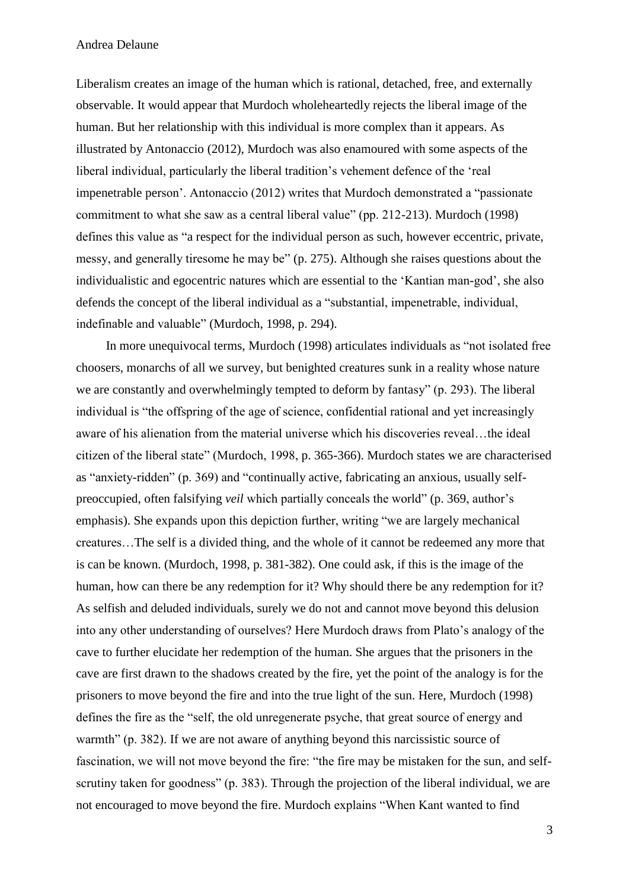Liberalism creates an image of the human which is rational, detached, free, and externally observable. It would appear that Murdoch wholeheartedly rejects the liberal image of the human. But her relationship with this individual is more complex than it appears. As illustrated by Antonaccio (2012), Murdoch was also enamoured with some aspects of the liberal individual, particularly the liberal tradition's vehement defence of the 'real impenetrable person'. Antonaccio (2012) writes that Murdoch demonstrated a "passionate commitment to what she saw as a central liberal value" (pp. 212-213). Murdoch (1998) defines this value as "a respect for the individual person as such, however eccentric, private, messy, and generally tiresome he may be" (p. 275). Although she raises questions about the individualistic and egocentric natures which are essential to the 'Kantian man-god', she also defends the concept of the liberal individual as a "substantial, impenetrable, individual, indefinable and valuable" (Murdoch, 1998, p. 294).

In more unequivocal terms, Murdoch (1998) articulates individuals as "not isolated free choosers, monarchs of all we survey, but benighted creatures sunk in a reality whose nature we are constantly and overwhelmingly tempted to deform by fantasy" (p. 293). The liberal individual is "the offspring of the age of science, confidential rational and yet increasingly aware of his alienation from the material universe which his discoveries reveal…the ideal citizen of the liberal state" (Murdoch, 1998, p. 365-366). Murdoch states we are characterised as "anxiety-ridden" (p. 369) and "continually active, fabricating an anxious, usually selfpreoccupied, often falsifying *veil* which partially conceals the world" (p. 369, author's emphasis). She expands upon this depiction further, writing "we are largely mechanical creatures…The self is a divided thing, and the whole of it cannot be redeemed any more that is can be known. (Murdoch, 1998, p. 381-382). One could ask, if this is the image of the human, how can there be any redemption for it? Why should there be any redemption for it? As selfish and deluded individuals, surely we do not and cannot move beyond this delusion into any other understanding of ourselves? Here Murdoch draws from Plato's analogy of the cave to further elucidate her redemption of the human. She argues that the prisoners in the cave are first drawn to the shadows created by the fire, yet the point of the analogy is for the prisoners to move beyond the fire and into the true light of the sun. Here, Murdoch (1998) defines the fire as the "self, the old unregenerate psyche, that great source of energy and warmth" (p. 382). If we are not aware of anything beyond this narcissistic source of fascination, we will not move beyond the fire: "the fire may be mistaken for the sun, and selfscrutiny taken for goodness" (p. 383). Through the projection of the liberal individual, we are not encouraged to move beyond the fire. Murdoch explains "When Kant wanted to find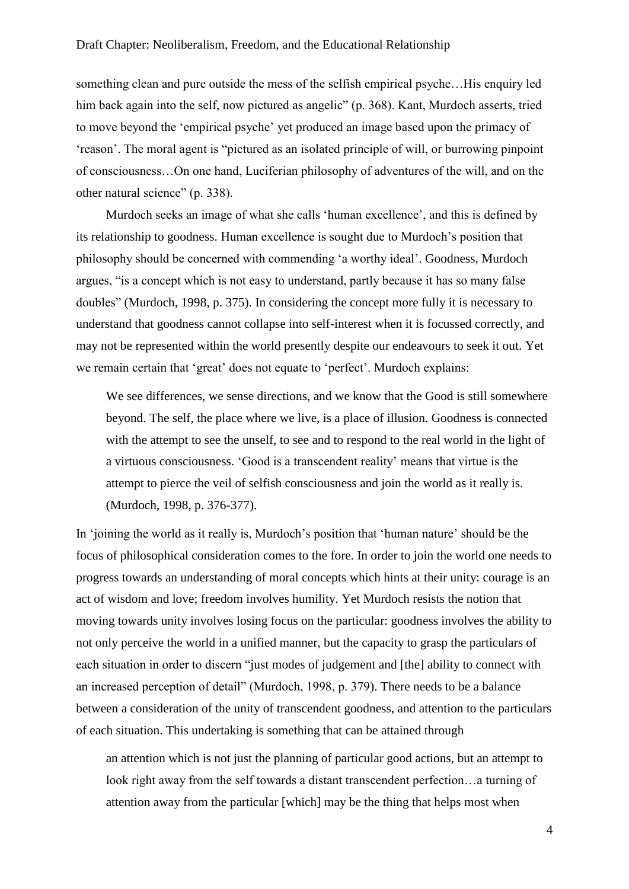something clean and pure outside the mess of the selfish empirical psyche…His enquiry led him back again into the self, now pictured as angelic" (p. 368). Kant, Murdoch asserts, tried to move beyond the 'empirical psyche' yet produced an image based upon the primacy of 'reason'. The moral agent is "pictured as an isolated principle of will, or burrowing pinpoint of consciousness…On one hand, Luciferian philosophy of adventures of the will, and on the other natural science" (p. 338).

Murdoch seeks an image of what she calls 'human excellence', and this is defined by its relationship to goodness. Human excellence is sought due to Murdoch's position that philosophy should be concerned with commending 'a worthy ideal'. Goodness, Murdoch argues, "is a concept which is not easy to understand, partly because it has so many false doubles" (Murdoch, 1998, p. 375). In considering the concept more fully it is necessary to understand that goodness cannot collapse into self-interest when it is focussed correctly, and may not be represented within the world presently despite our endeavours to seek it out. Yet we remain certain that 'great' does not equate to 'perfect'. Murdoch explains:

We see differences, we sense directions, and we know that the Good is still somewhere beyond. The self, the place where we live, is a place of illusion. Goodness is connected with the attempt to see the unself, to see and to respond to the real world in the light of a virtuous consciousness. 'Good is a transcendent reality' means that virtue is the attempt to pierce the veil of selfish consciousness and join the world as it really is. (Murdoch, 1998, p. 376-377).

In 'joining the world as it really is, Murdoch's position that 'human nature' should be the focus of philosophical consideration comes to the fore. In order to join the world one needs to progress towards an understanding of moral concepts which hints at their unity: courage is an act of wisdom and love; freedom involves humility. Yet Murdoch resists the notion that moving towards unity involves losing focus on the particular: goodness involves the ability to not only perceive the world in a unified manner, but the capacity to grasp the particulars of each situation in order to discern "just modes of judgement and [the] ability to connect with an increased perception of detail" (Murdoch, 1998, p. 379). There needs to be a balance between a consideration of the unity of transcendent goodness, and attention to the particulars of each situation. This undertaking is something that can be attained through

an attention which is not just the planning of particular good actions, but an attempt to look right away from the self towards a distant transcendent perfection…a turning of attention away from the particular [which] may be the thing that helps most when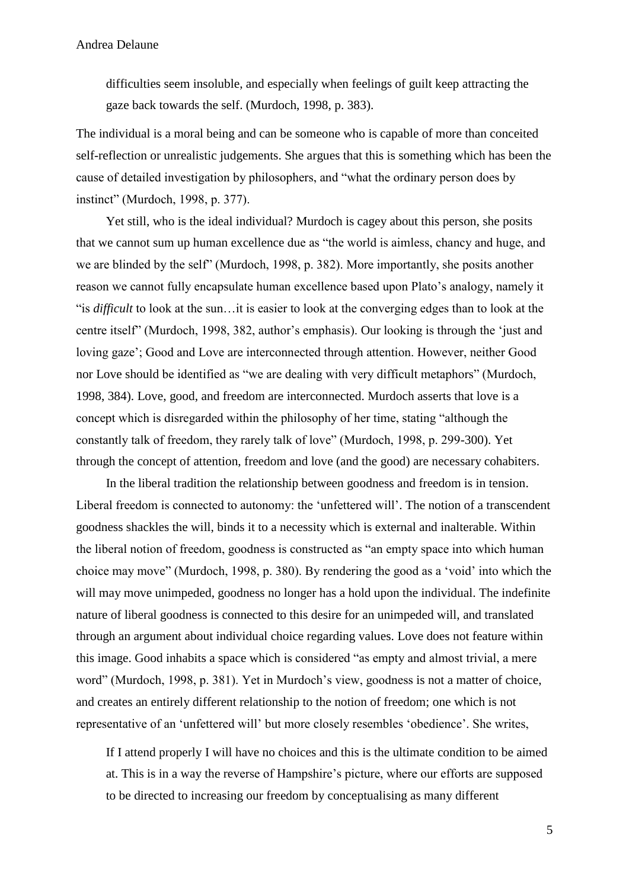difficulties seem insoluble, and especially when feelings of guilt keep attracting the gaze back towards the self. (Murdoch, 1998, p. 383).

The individual is a moral being and can be someone who is capable of more than conceited self-reflection or unrealistic judgements. She argues that this is something which has been the cause of detailed investigation by philosophers, and "what the ordinary person does by instinct" (Murdoch, 1998, p. 377).

Yet still, who is the ideal individual? Murdoch is cagey about this person, she posits that we cannot sum up human excellence due as "the world is aimless, chancy and huge, and we are blinded by the self" (Murdoch, 1998, p. 382). More importantly, she posits another reason we cannot fully encapsulate human excellence based upon Plato's analogy, namely it "is *difficult* to look at the sun…it is easier to look at the converging edges than to look at the centre itself" (Murdoch, 1998, 382, author's emphasis). Our looking is through the 'just and loving gaze'; Good and Love are interconnected through attention. However, neither Good nor Love should be identified as "we are dealing with very difficult metaphors" (Murdoch, 1998, 384). Love, good, and freedom are interconnected. Murdoch asserts that love is a concept which is disregarded within the philosophy of her time, stating "although the constantly talk of freedom, they rarely talk of love" (Murdoch, 1998, p. 299-300). Yet through the concept of attention, freedom and love (and the good) are necessary cohabiters.

In the liberal tradition the relationship between goodness and freedom is in tension. Liberal freedom is connected to autonomy: the 'unfettered will'. The notion of a transcendent goodness shackles the will, binds it to a necessity which is external and inalterable. Within the liberal notion of freedom, goodness is constructed as "an empty space into which human choice may move" (Murdoch, 1998, p. 380). By rendering the good as a 'void' into which the will may move unimpeded, goodness no longer has a hold upon the individual. The indefinite nature of liberal goodness is connected to this desire for an unimpeded will, and translated through an argument about individual choice regarding values. Love does not feature within this image. Good inhabits a space which is considered "as empty and almost trivial, a mere word" (Murdoch, 1998, p. 381). Yet in Murdoch's view, goodness is not a matter of choice, and creates an entirely different relationship to the notion of freedom; one which is not representative of an 'unfettered will' but more closely resembles 'obedience'. She writes,

If I attend properly I will have no choices and this is the ultimate condition to be aimed at. This is in a way the reverse of Hampshire's picture, where our efforts are supposed to be directed to increasing our freedom by conceptualising as many different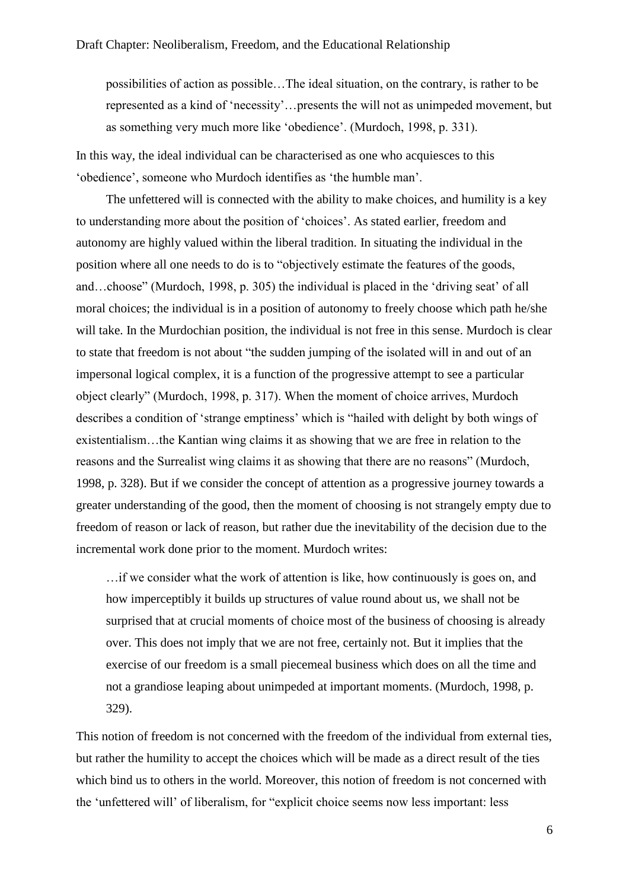possibilities of action as possible…The ideal situation, on the contrary, is rather to be represented as a kind of 'necessity'…presents the will not as unimpeded movement, but as something very much more like 'obedience'. (Murdoch, 1998, p. 331).

In this way, the ideal individual can be characterised as one who acquiesces to this 'obedience', someone who Murdoch identifies as 'the humble man'.

The unfettered will is connected with the ability to make choices, and humility is a key to understanding more about the position of 'choices'. As stated earlier, freedom and autonomy are highly valued within the liberal tradition. In situating the individual in the position where all one needs to do is to "objectively estimate the features of the goods, and…choose" (Murdoch, 1998, p. 305) the individual is placed in the 'driving seat' of all moral choices; the individual is in a position of autonomy to freely choose which path he/she will take. In the Murdochian position, the individual is not free in this sense. Murdoch is clear to state that freedom is not about "the sudden jumping of the isolated will in and out of an impersonal logical complex, it is a function of the progressive attempt to see a particular object clearly" (Murdoch, 1998, p. 317). When the moment of choice arrives, Murdoch describes a condition of 'strange emptiness' which is "hailed with delight by both wings of existentialism…the Kantian wing claims it as showing that we are free in relation to the reasons and the Surrealist wing claims it as showing that there are no reasons" (Murdoch, 1998, p. 328). But if we consider the concept of attention as a progressive journey towards a greater understanding of the good, then the moment of choosing is not strangely empty due to freedom of reason or lack of reason, but rather due the inevitability of the decision due to the incremental work done prior to the moment. Murdoch writes:

…if we consider what the work of attention is like, how continuously is goes on, and how imperceptibly it builds up structures of value round about us, we shall not be surprised that at crucial moments of choice most of the business of choosing is already over. This does not imply that we are not free, certainly not. But it implies that the exercise of our freedom is a small piecemeal business which does on all the time and not a grandiose leaping about unimpeded at important moments. (Murdoch, 1998, p. 329).

This notion of freedom is not concerned with the freedom of the individual from external ties, but rather the humility to accept the choices which will be made as a direct result of the ties which bind us to others in the world. Moreover, this notion of freedom is not concerned with the 'unfettered will' of liberalism, for "explicit choice seems now less important: less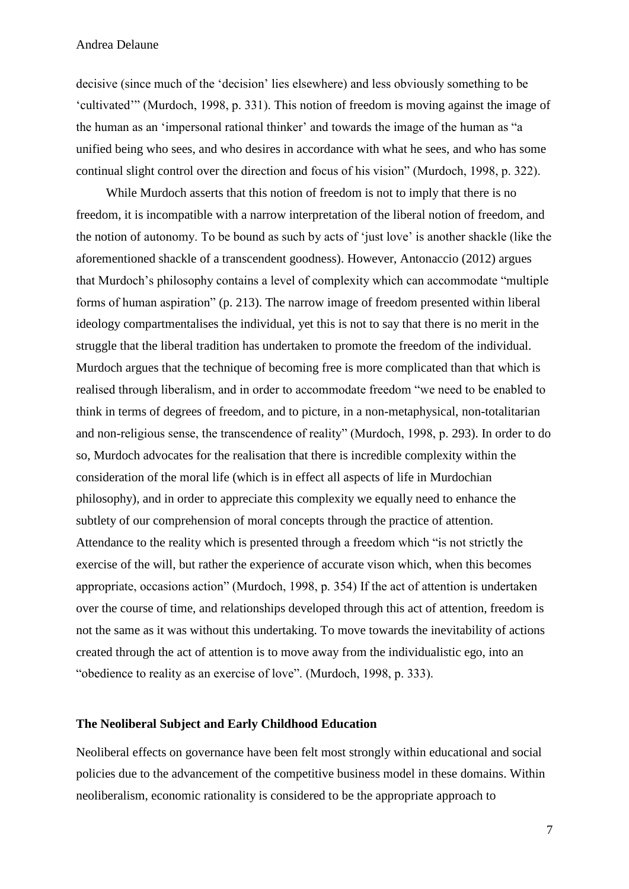decisive (since much of the 'decision' lies elsewhere) and less obviously something to be 'cultivated'" (Murdoch, 1998, p. 331). This notion of freedom is moving against the image of the human as an 'impersonal rational thinker' and towards the image of the human as "a unified being who sees, and who desires in accordance with what he sees, and who has some continual slight control over the direction and focus of his vision" (Murdoch, 1998, p. 322).

While Murdoch asserts that this notion of freedom is not to imply that there is no freedom, it is incompatible with a narrow interpretation of the liberal notion of freedom, and the notion of autonomy. To be bound as such by acts of 'just love' is another shackle (like the aforementioned shackle of a transcendent goodness). However, Antonaccio (2012) argues that Murdoch's philosophy contains a level of complexity which can accommodate "multiple forms of human aspiration" (p. 213). The narrow image of freedom presented within liberal ideology compartmentalises the individual, yet this is not to say that there is no merit in the struggle that the liberal tradition has undertaken to promote the freedom of the individual. Murdoch argues that the technique of becoming free is more complicated than that which is realised through liberalism, and in order to accommodate freedom "we need to be enabled to think in terms of degrees of freedom, and to picture, in a non-metaphysical, non-totalitarian and non-religious sense, the transcendence of reality" (Murdoch, 1998, p. 293). In order to do so, Murdoch advocates for the realisation that there is incredible complexity within the consideration of the moral life (which is in effect all aspects of life in Murdochian philosophy), and in order to appreciate this complexity we equally need to enhance the subtlety of our comprehension of moral concepts through the practice of attention. Attendance to the reality which is presented through a freedom which "is not strictly the exercise of the will, but rather the experience of accurate vison which, when this becomes appropriate, occasions action" (Murdoch, 1998, p. 354) If the act of attention is undertaken over the course of time, and relationships developed through this act of attention, freedom is not the same as it was without this undertaking. To move towards the inevitability of actions created through the act of attention is to move away from the individualistic ego, into an "obedience to reality as an exercise of love". (Murdoch, 1998, p. 333).

## **The Neoliberal Subject and Early Childhood Education**

Neoliberal effects on governance have been felt most strongly within educational and social policies due to the advancement of the competitive business model in these domains. Within neoliberalism, economic rationality is considered to be the appropriate approach to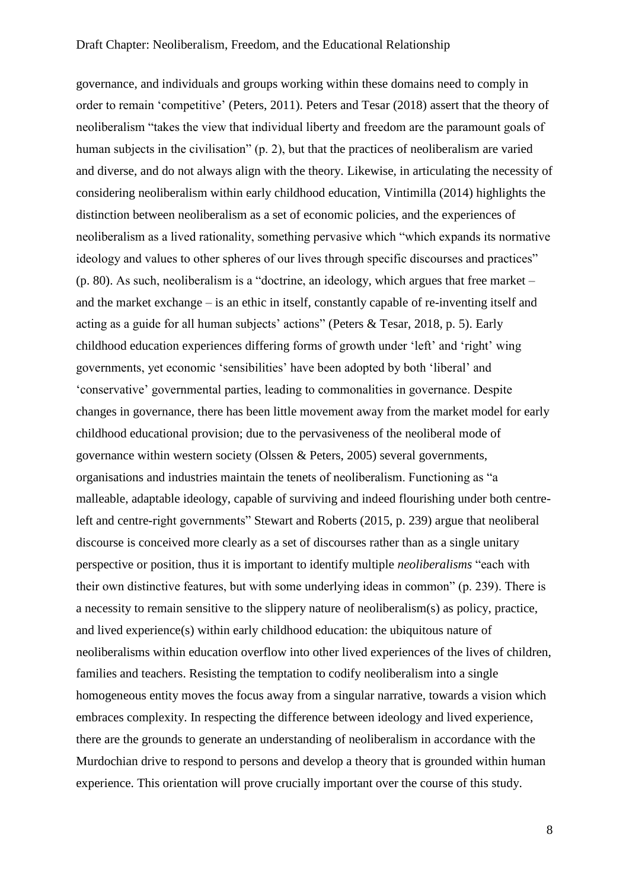governance, and individuals and groups working within these domains need to comply in order to remain 'competitive' (Peters, 2011). Peters and Tesar (2018) assert that the theory of neoliberalism "takes the view that individual liberty and freedom are the paramount goals of human subjects in the civilisation" (p. 2), but that the practices of neoliberalism are varied and diverse, and do not always align with the theory. Likewise, in articulating the necessity of considering neoliberalism within early childhood education, Vintimilla (2014) highlights the distinction between neoliberalism as a set of economic policies, and the experiences of neoliberalism as a lived rationality, something pervasive which "which expands its normative ideology and values to other spheres of our lives through specific discourses and practices" (p. 80). As such, neoliberalism is a "doctrine, an ideology, which argues that free market – and the market exchange – is an ethic in itself, constantly capable of re-inventing itself and acting as a guide for all human subjects' actions" (Peters & Tesar, 2018, p. 5). Early childhood education experiences differing forms of growth under 'left' and 'right' wing governments, yet economic 'sensibilities' have been adopted by both 'liberal' and 'conservative' governmental parties, leading to commonalities in governance. Despite changes in governance, there has been little movement away from the market model for early childhood educational provision; due to the pervasiveness of the neoliberal mode of governance within western society (Olssen & Peters, 2005) several governments, organisations and industries maintain the tenets of neoliberalism. Functioning as "a malleable, adaptable ideology, capable of surviving and indeed flourishing under both centreleft and centre-right governments" Stewart and Roberts (2015, p. 239) argue that neoliberal discourse is conceived more clearly as a set of discourses rather than as a single unitary perspective or position, thus it is important to identify multiple *neoliberalisms* "each with their own distinctive features, but with some underlying ideas in common" (p. 239). There is a necessity to remain sensitive to the slippery nature of neoliberalism(s) as policy, practice, and lived experience(s) within early childhood education: the ubiquitous nature of neoliberalisms within education overflow into other lived experiences of the lives of children, families and teachers. Resisting the temptation to codify neoliberalism into a single homogeneous entity moves the focus away from a singular narrative, towards a vision which embraces complexity. In respecting the difference between ideology and lived experience, there are the grounds to generate an understanding of neoliberalism in accordance with the Murdochian drive to respond to persons and develop a theory that is grounded within human experience. This orientation will prove crucially important over the course of this study.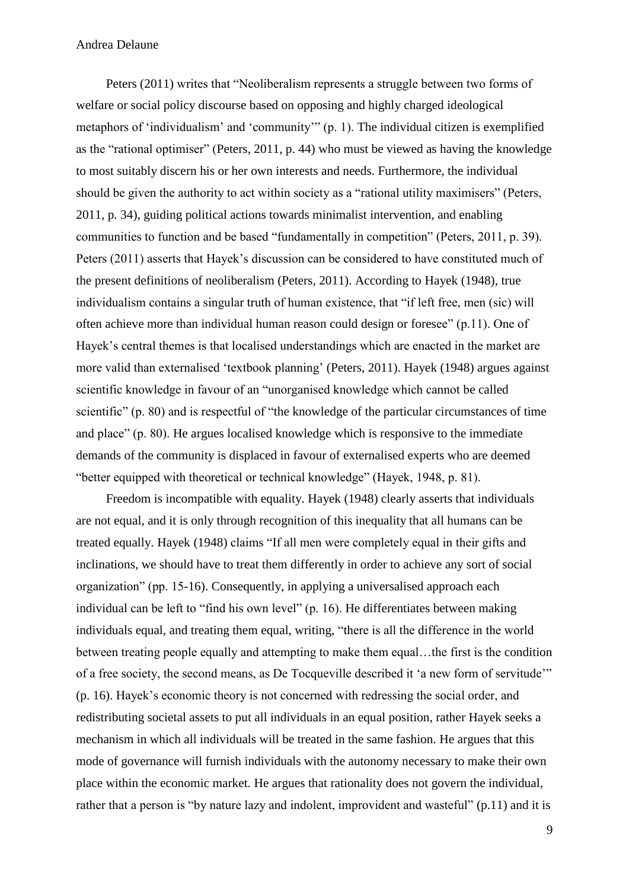Peters (2011) writes that "Neoliberalism represents a struggle between two forms of welfare or social policy discourse based on opposing and highly charged ideological metaphors of 'individualism' and 'community'" (p. 1). The individual citizen is exemplified as the "rational optimiser" (Peters, 2011, p. 44) who must be viewed as having the knowledge to most suitably discern his or her own interests and needs. Furthermore, the individual should be given the authority to act within society as a "rational utility maximisers" (Peters, 2011, p. 34), guiding political actions towards minimalist intervention, and enabling communities to function and be based "fundamentally in competition" (Peters, 2011, p. 39). Peters (2011) asserts that Hayek's discussion can be considered to have constituted much of the present definitions of neoliberalism (Peters, 2011). According to Hayek (1948), true individualism contains a singular truth of human existence, that "if left free, men (sic) will often achieve more than individual human reason could design or foresee" (p.11). One of Hayek's central themes is that localised understandings which are enacted in the market are more valid than externalised 'textbook planning' (Peters, 2011). Hayek (1948) argues against scientific knowledge in favour of an "unorganised knowledge which cannot be called scientific" (p. 80) and is respectful of "the knowledge of the particular circumstances of time and place" (p. 80). He argues localised knowledge which is responsive to the immediate demands of the community is displaced in favour of externalised experts who are deemed "better equipped with theoretical or technical knowledge" (Hayek, 1948, p. 81).

Freedom is incompatible with equality. Hayek (1948) clearly asserts that individuals are not equal, and it is only through recognition of this inequality that all humans can be treated equally. Hayek (1948) claims "If all men were completely equal in their gifts and inclinations, we should have to treat them differently in order to achieve any sort of social organization" (pp. 15-16). Consequently, in applying a universalised approach each individual can be left to "find his own level" (p. 16). He differentiates between making individuals equal, and treating them equal, writing, "there is all the difference in the world between treating people equally and attempting to make them equal…the first is the condition of a free society, the second means, as De Tocqueville described it 'a new form of servitude'" (p. 16). Hayek's economic theory is not concerned with redressing the social order, and redistributing societal assets to put all individuals in an equal position, rather Hayek seeks a mechanism in which all individuals will be treated in the same fashion. He argues that this mode of governance will furnish individuals with the autonomy necessary to make their own place within the economic market. He argues that rationality does not govern the individual, rather that a person is "by nature lazy and indolent, improvident and wasteful" (p.11) and it is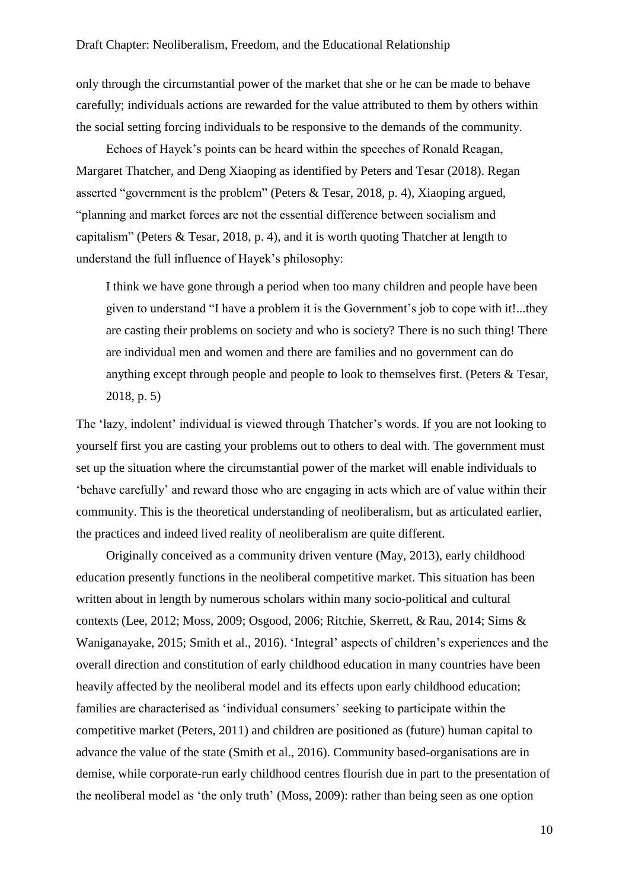only through the circumstantial power of the market that she or he can be made to behave carefully; individuals actions are rewarded for the value attributed to them by others within the social setting forcing individuals to be responsive to the demands of the community.

Echoes of Hayek's points can be heard within the speeches of Ronald Reagan, Margaret Thatcher, and Deng Xiaoping as identified by Peters and Tesar (2018). Regan asserted "government is the problem" (Peters & Tesar, 2018, p. 4), Xiaoping argued, "planning and market forces are not the essential difference between socialism and capitalism" (Peters & Tesar, 2018, p. 4), and it is worth quoting Thatcher at length to understand the full influence of Hayek's philosophy:

I think we have gone through a period when too many children and people have been given to understand "I have a problem it is the Government's job to cope with it!...they are casting their problems on society and who is society? There is no such thing! There are individual men and women and there are families and no government can do anything except through people and people to look to themselves first. (Peters & Tesar, 2018, p. 5)

The 'lazy, indolent' individual is viewed through Thatcher's words. If you are not looking to yourself first you are casting your problems out to others to deal with. The government must set up the situation where the circumstantial power of the market will enable individuals to 'behave carefully' and reward those who are engaging in acts which are of value within their community. This is the theoretical understanding of neoliberalism, but as articulated earlier, the practices and indeed lived reality of neoliberalism are quite different.

Originally conceived as a community driven venture (May, 2013), early childhood education presently functions in the neoliberal competitive market. This situation has been written about in length by numerous scholars within many socio-political and cultural contexts (Lee, 2012; Moss, 2009; Osgood, 2006; Ritchie, Skerrett, & Rau, 2014; Sims & Waniganayake, 2015; Smith et al., 2016). 'Integral' aspects of children's experiences and the overall direction and constitution of early childhood education in many countries have been heavily affected by the neoliberal model and its effects upon early childhood education; families are characterised as 'individual consumers' seeking to participate within the competitive market (Peters, 2011) and children are positioned as (future) human capital to advance the value of the state (Smith et al., 2016). Community based-organisations are in demise, while corporate-run early childhood centres flourish due in part to the presentation of the neoliberal model as 'the only truth' (Moss, 2009): rather than being seen as one option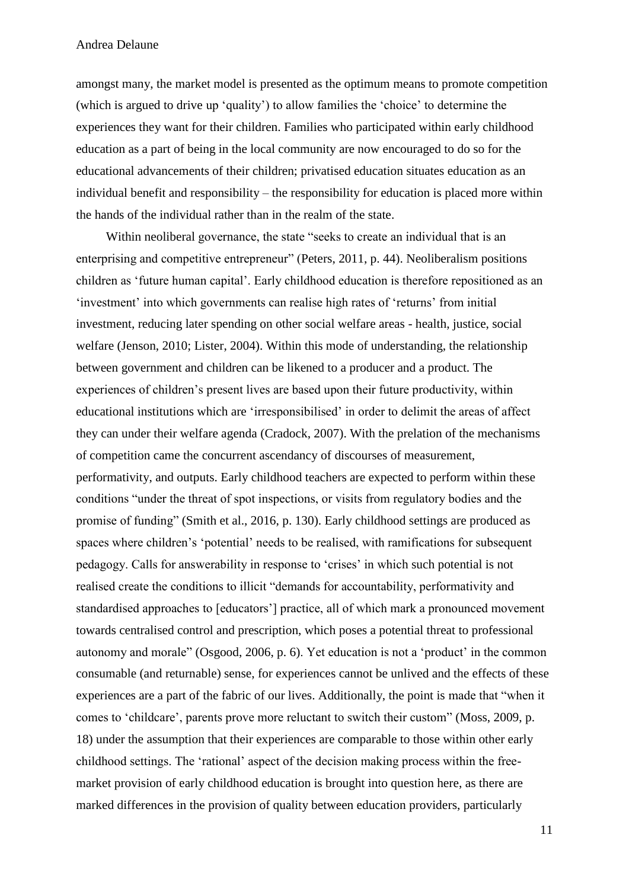amongst many, the market model is presented as the optimum means to promote competition (which is argued to drive up 'quality') to allow families the 'choice' to determine the experiences they want for their children. Families who participated within early childhood education as a part of being in the local community are now encouraged to do so for the educational advancements of their children; privatised education situates education as an individual benefit and responsibility – the responsibility for education is placed more within the hands of the individual rather than in the realm of the state.

Within neoliberal governance, the state "seeks to create an individual that is an enterprising and competitive entrepreneur" (Peters, 2011, p. 44). Neoliberalism positions children as 'future human capital'. Early childhood education is therefore repositioned as an 'investment' into which governments can realise high rates of 'returns' from initial investment, reducing later spending on other social welfare areas - health, justice, social welfare (Jenson, 2010; Lister, 2004). Within this mode of understanding, the relationship between government and children can be likened to a producer and a product. The experiences of children's present lives are based upon their future productivity, within educational institutions which are 'irresponsibilised' in order to delimit the areas of affect they can under their welfare agenda (Cradock, 2007). With the prelation of the mechanisms of competition came the concurrent ascendancy of discourses of measurement, performativity, and outputs. Early childhood teachers are expected to perform within these conditions "under the threat of spot inspections, or visits from regulatory bodies and the promise of funding" (Smith et al., 2016, p. 130). Early childhood settings are produced as spaces where children's 'potential' needs to be realised, with ramifications for subsequent pedagogy. Calls for answerability in response to 'crises' in which such potential is not realised create the conditions to illicit "demands for accountability, performativity and standardised approaches to [educators'] practice, all of which mark a pronounced movement towards centralised control and prescription, which poses a potential threat to professional autonomy and morale" (Osgood, 2006, p. 6). Yet education is not a 'product' in the common consumable (and returnable) sense, for experiences cannot be unlived and the effects of these experiences are a part of the fabric of our lives. Additionally, the point is made that "when it comes to 'childcare', parents prove more reluctant to switch their custom" (Moss, 2009, p. 18) under the assumption that their experiences are comparable to those within other early childhood settings. The 'rational' aspect of the decision making process within the freemarket provision of early childhood education is brought into question here, as there are marked differences in the provision of quality between education providers, particularly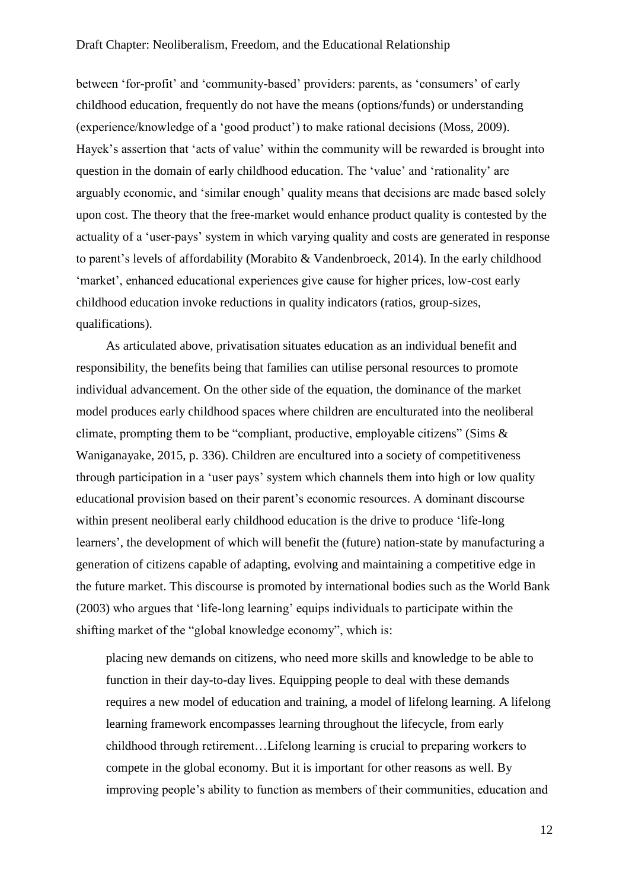between 'for-profit' and 'community-based' providers: parents, as 'consumers' of early childhood education, frequently do not have the means (options/funds) or understanding (experience/knowledge of a 'good product') to make rational decisions (Moss, 2009). Hayek's assertion that 'acts of value' within the community will be rewarded is brought into question in the domain of early childhood education. The 'value' and 'rationality' are arguably economic, and 'similar enough' quality means that decisions are made based solely upon cost. The theory that the free-market would enhance product quality is contested by the actuality of a 'user-pays' system in which varying quality and costs are generated in response to parent's levels of affordability (Morabito & Vandenbroeck, 2014). In the early childhood 'market', enhanced educational experiences give cause for higher prices, low-cost early childhood education invoke reductions in quality indicators (ratios, group-sizes, qualifications).

As articulated above, privatisation situates education as an individual benefit and responsibility, the benefits being that families can utilise personal resources to promote individual advancement. On the other side of the equation, the dominance of the market model produces early childhood spaces where children are enculturated into the neoliberal climate, prompting them to be "compliant, productive, employable citizens" (Sims & Waniganayake, 2015, p. 336). Children are encultured into a society of competitiveness through participation in a 'user pays' system which channels them into high or low quality educational provision based on their parent's economic resources. A dominant discourse within present neoliberal early childhood education is the drive to produce 'life-long learners', the development of which will benefit the (future) nation-state by manufacturing a generation of citizens capable of adapting, evolving and maintaining a competitive edge in the future market. This discourse is promoted by international bodies such as the World Bank (2003) who argues that 'life-long learning' equips individuals to participate within the shifting market of the "global knowledge economy", which is:

placing new demands on citizens, who need more skills and knowledge to be able to function in their day-to-day lives. Equipping people to deal with these demands requires a new model of education and training, a model of lifelong learning. A lifelong learning framework encompasses learning throughout the lifecycle, from early childhood through retirement…Lifelong learning is crucial to preparing workers to compete in the global economy. But it is important for other reasons as well. By improving people's ability to function as members of their communities, education and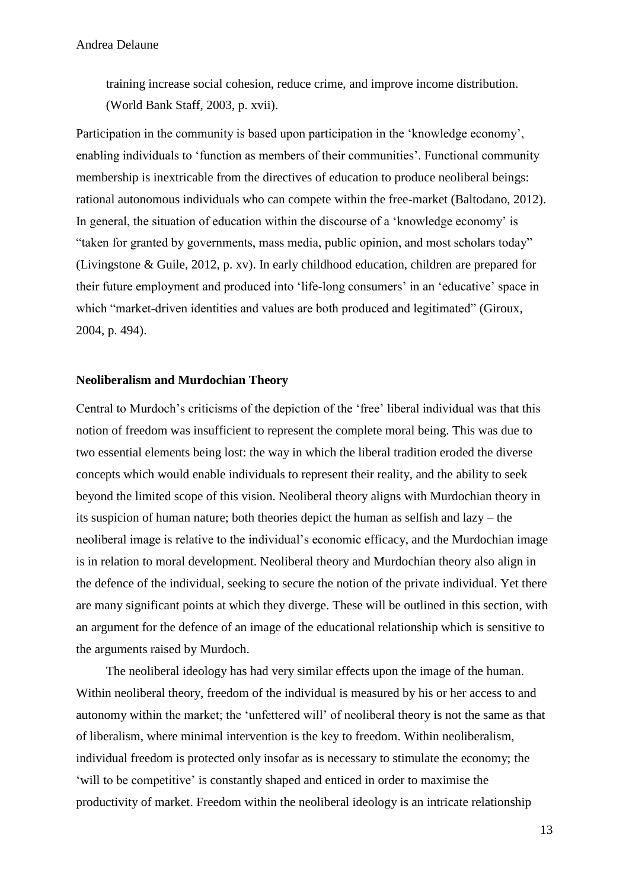training increase social cohesion, reduce crime, and improve income distribution. (World Bank Staff, 2003, p. xvii).

Participation in the community is based upon participation in the 'knowledge economy', enabling individuals to 'function as members of their communities'. Functional community membership is inextricable from the directives of education to produce neoliberal beings: rational autonomous individuals who can compete within the free-market (Baltodano, 2012). In general, the situation of education within the discourse of a 'knowledge economy' is "taken for granted by governments, mass media, public opinion, and most scholars today" (Livingstone & Guile, 2012, p. xv). In early childhood education, children are prepared for their future employment and produced into 'life-long consumers' in an 'educative' space in which "market-driven identities and values are both produced and legitimated" (Giroux, 2004, p. 494).

## **Neoliberalism and Murdochian Theory**

Central to Murdoch's criticisms of the depiction of the 'free' liberal individual was that this notion of freedom was insufficient to represent the complete moral being. This was due to two essential elements being lost: the way in which the liberal tradition eroded the diverse concepts which would enable individuals to represent their reality, and the ability to seek beyond the limited scope of this vision. Neoliberal theory aligns with Murdochian theory in its suspicion of human nature; both theories depict the human as selfish and lazy – the neoliberal image is relative to the individual's economic efficacy, and the Murdochian image is in relation to moral development. Neoliberal theory and Murdochian theory also align in the defence of the individual, seeking to secure the notion of the private individual. Yet there are many significant points at which they diverge. These will be outlined in this section, with an argument for the defence of an image of the educational relationship which is sensitive to the arguments raised by Murdoch.

The neoliberal ideology has had very similar effects upon the image of the human. Within neoliberal theory, freedom of the individual is measured by his or her access to and autonomy within the market; the 'unfettered will' of neoliberal theory is not the same as that of liberalism, where minimal intervention is the key to freedom. Within neoliberalism, individual freedom is protected only insofar as is necessary to stimulate the economy; the 'will to be competitive' is constantly shaped and enticed in order to maximise the productivity of market. Freedom within the neoliberal ideology is an intricate relationship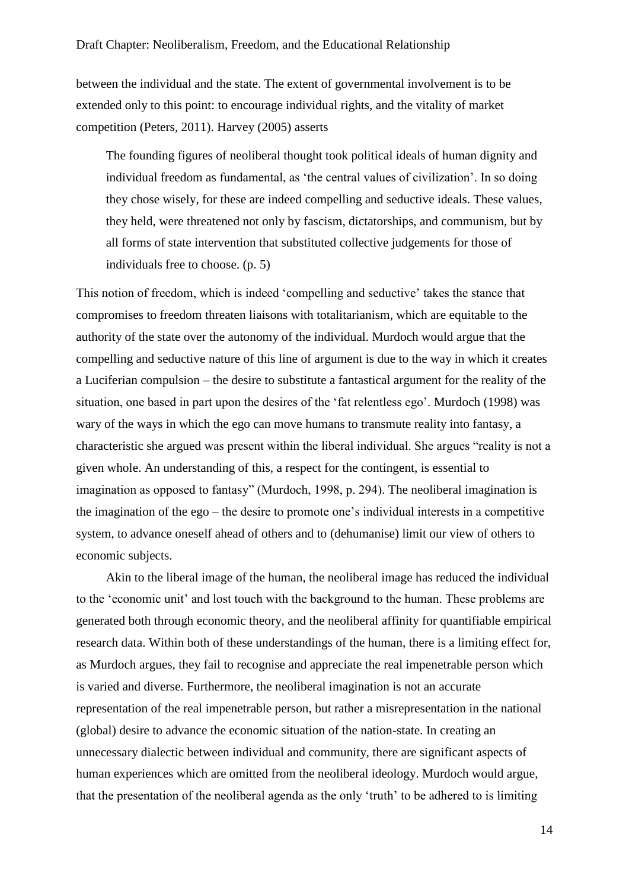between the individual and the state. The extent of governmental involvement is to be extended only to this point: to encourage individual rights, and the vitality of market competition (Peters, 2011). Harvey (2005) asserts

The founding figures of neoliberal thought took political ideals of human dignity and individual freedom as fundamental, as 'the central values of civilization'. In so doing they chose wisely, for these are indeed compelling and seductive ideals. These values, they held, were threatened not only by fascism, dictatorships, and communism, but by all forms of state intervention that substituted collective judgements for those of individuals free to choose. (p. 5)

This notion of freedom, which is indeed 'compelling and seductive' takes the stance that compromises to freedom threaten liaisons with totalitarianism, which are equitable to the authority of the state over the autonomy of the individual. Murdoch would argue that the compelling and seductive nature of this line of argument is due to the way in which it creates a Luciferian compulsion – the desire to substitute a fantastical argument for the reality of the situation, one based in part upon the desires of the 'fat relentless ego'. Murdoch (1998) was wary of the ways in which the ego can move humans to transmute reality into fantasy, a characteristic she argued was present within the liberal individual. She argues "reality is not a given whole. An understanding of this, a respect for the contingent, is essential to imagination as opposed to fantasy" (Murdoch, 1998, p. 294). The neoliberal imagination is the imagination of the ego – the desire to promote one's individual interests in a competitive system, to advance oneself ahead of others and to (dehumanise) limit our view of others to economic subjects.

Akin to the liberal image of the human, the neoliberal image has reduced the individual to the 'economic unit' and lost touch with the background to the human. These problems are generated both through economic theory, and the neoliberal affinity for quantifiable empirical research data. Within both of these understandings of the human, there is a limiting effect for, as Murdoch argues, they fail to recognise and appreciate the real impenetrable person which is varied and diverse. Furthermore, the neoliberal imagination is not an accurate representation of the real impenetrable person, but rather a misrepresentation in the national (global) desire to advance the economic situation of the nation-state. In creating an unnecessary dialectic between individual and community, there are significant aspects of human experiences which are omitted from the neoliberal ideology. Murdoch would argue, that the presentation of the neoliberal agenda as the only 'truth' to be adhered to is limiting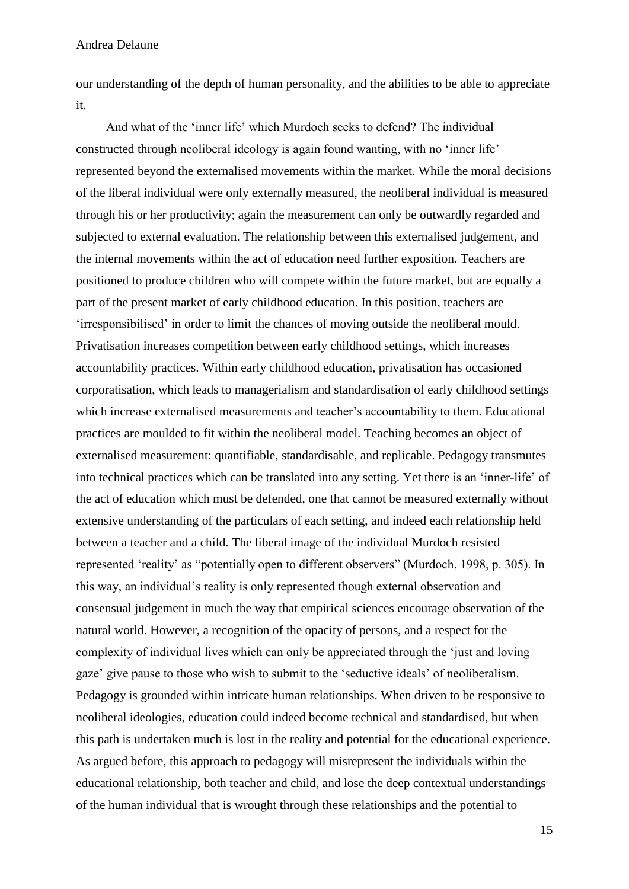our understanding of the depth of human personality, and the abilities to be able to appreciate it.

And what of the 'inner life' which Murdoch seeks to defend? The individual constructed through neoliberal ideology is again found wanting, with no 'inner life' represented beyond the externalised movements within the market. While the moral decisions of the liberal individual were only externally measured, the neoliberal individual is measured through his or her productivity; again the measurement can only be outwardly regarded and subjected to external evaluation. The relationship between this externalised judgement, and the internal movements within the act of education need further exposition. Teachers are positioned to produce children who will compete within the future market, but are equally a part of the present market of early childhood education. In this position, teachers are 'irresponsibilised' in order to limit the chances of moving outside the neoliberal mould. Privatisation increases competition between early childhood settings, which increases accountability practices. Within early childhood education, privatisation has occasioned corporatisation, which leads to managerialism and standardisation of early childhood settings which increase externalised measurements and teacher's accountability to them. Educational practices are moulded to fit within the neoliberal model. Teaching becomes an object of externalised measurement: quantifiable, standardisable, and replicable. Pedagogy transmutes into technical practices which can be translated into any setting. Yet there is an 'inner-life' of the act of education which must be defended, one that cannot be measured externally without extensive understanding of the particulars of each setting, and indeed each relationship held between a teacher and a child. The liberal image of the individual Murdoch resisted represented 'reality' as "potentially open to different observers" (Murdoch, 1998, p. 305). In this way, an individual's reality is only represented though external observation and consensual judgement in much the way that empirical sciences encourage observation of the natural world. However, a recognition of the opacity of persons, and a respect for the complexity of individual lives which can only be appreciated through the 'just and loving gaze' give pause to those who wish to submit to the 'seductive ideals' of neoliberalism. Pedagogy is grounded within intricate human relationships. When driven to be responsive to neoliberal ideologies, education could indeed become technical and standardised, but when this path is undertaken much is lost in the reality and potential for the educational experience. As argued before, this approach to pedagogy will misrepresent the individuals within the educational relationship, both teacher and child, and lose the deep contextual understandings of the human individual that is wrought through these relationships and the potential to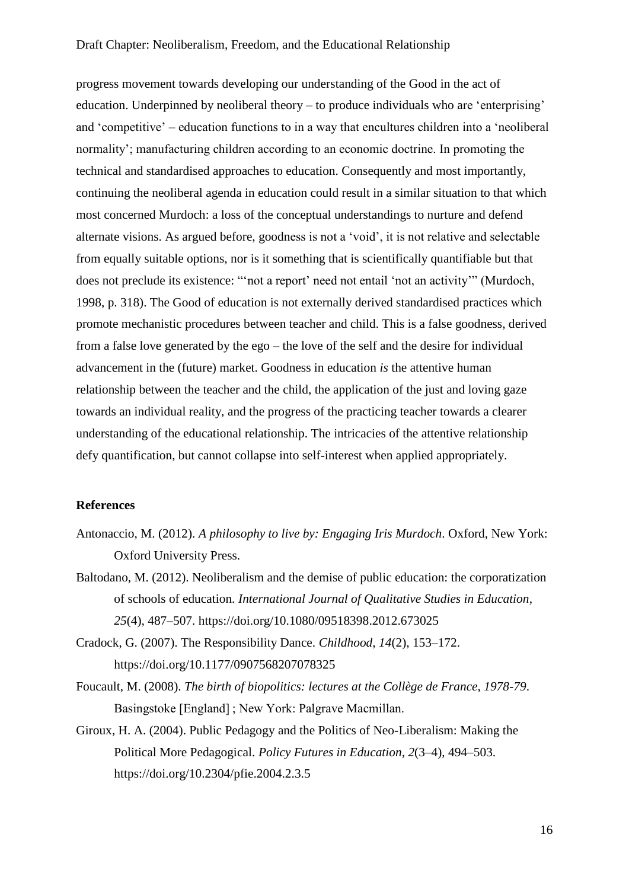progress movement towards developing our understanding of the Good in the act of education. Underpinned by neoliberal theory – to produce individuals who are 'enterprising' and 'competitive' – education functions to in a way that encultures children into a 'neoliberal normality'; manufacturing children according to an economic doctrine. In promoting the technical and standardised approaches to education. Consequently and most importantly, continuing the neoliberal agenda in education could result in a similar situation to that which most concerned Murdoch: a loss of the conceptual understandings to nurture and defend alternate visions. As argued before, goodness is not a 'void', it is not relative and selectable from equally suitable options, nor is it something that is scientifically quantifiable but that does not preclude its existence: "'not a report' need not entail 'not an activity'" (Murdoch, 1998, p. 318). The Good of education is not externally derived standardised practices which promote mechanistic procedures between teacher and child. This is a false goodness, derived from a false love generated by the ego – the love of the self and the desire for individual advancement in the (future) market. Goodness in education *is* the attentive human relationship between the teacher and the child, the application of the just and loving gaze towards an individual reality, and the progress of the practicing teacher towards a clearer understanding of the educational relationship. The intricacies of the attentive relationship defy quantification, but cannot collapse into self-interest when applied appropriately.

# **References**

- Antonaccio, M. (2012). *A philosophy to live by: Engaging Iris Murdoch*. Oxford, New York: Oxford University Press.
- Baltodano, M. (2012). Neoliberalism and the demise of public education: the corporatization of schools of education. *International Journal of Qualitative Studies in Education*, *25*(4), 487–507. https://doi.org/10.1080/09518398.2012.673025
- Cradock, G. (2007). The Responsibility Dance. *Childhood*, *14*(2), 153–172. https://doi.org/10.1177/0907568207078325
- Foucault, M. (2008). *The birth of biopolitics: lectures at the Collège de France, 1978-79*. Basingstoke [England] ; New York: Palgrave Macmillan.
- Giroux, H. A. (2004). Public Pedagogy and the Politics of Neo-Liberalism: Making the Political More Pedagogical. *Policy Futures in Education*, *2*(3–4), 494–503. https://doi.org/10.2304/pfie.2004.2.3.5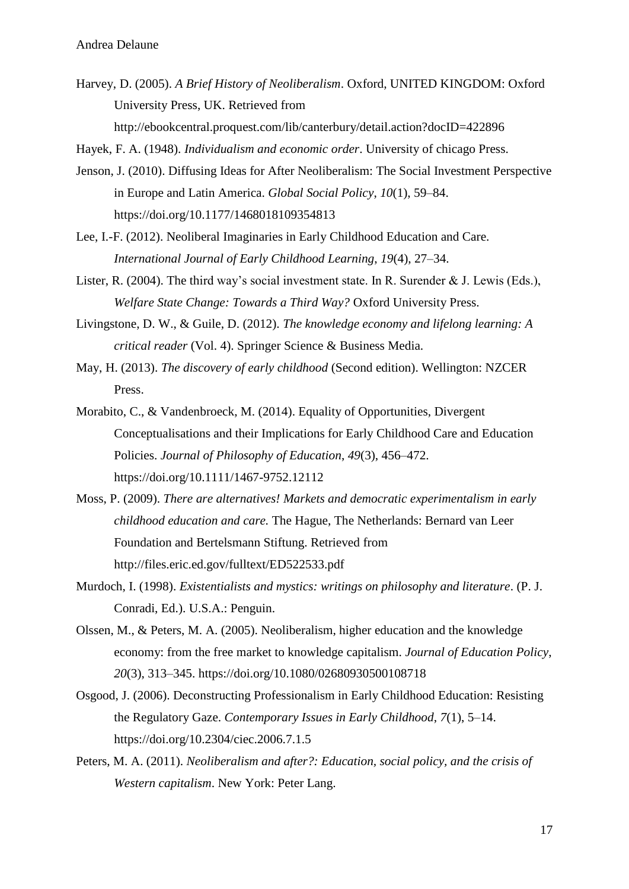Harvey, D. (2005). *A Brief History of Neoliberalism*. Oxford, UNITED KINGDOM: Oxford University Press, UK. Retrieved from

http://ebookcentral.proquest.com/lib/canterbury/detail.action?docID=422896

Hayek, F. A. (1948). *Individualism and economic order*. University of chicago Press.

- Jenson, J. (2010). Diffusing Ideas for After Neoliberalism: The Social Investment Perspective in Europe and Latin America. *Global Social Policy*, *10*(1), 59–84. https://doi.org/10.1177/1468018109354813
- Lee, I.-F. (2012). Neoliberal Imaginaries in Early Childhood Education and Care. *International Journal of Early Childhood Learning*, *19*(4), 27–34.
- Lister, R. (2004). The third way's social investment state. In R. Surender & J. Lewis (Eds.), *Welfare State Change: Towards a Third Way?* Oxford University Press.
- Livingstone, D. W., & Guile, D. (2012). *The knowledge economy and lifelong learning: A critical reader* (Vol. 4). Springer Science & Business Media.
- May, H. (2013). *The discovery of early childhood* (Second edition). Wellington: NZCER Press.
- Morabito, C., & Vandenbroeck, M. (2014). Equality of Opportunities, Divergent Conceptualisations and their Implications for Early Childhood Care and Education Policies. *Journal of Philosophy of Education*, *49*(3), 456–472. https://doi.org/10.1111/1467-9752.12112
- Moss, P. (2009). *There are alternatives! Markets and democratic experimentalism in early childhood education and care.* The Hague, The Netherlands: Bernard van Leer Foundation and Bertelsmann Stiftung. Retrieved from http://files.eric.ed.gov/fulltext/ED522533.pdf
- Murdoch, I. (1998). *Existentialists and mystics: writings on philosophy and literature*. (P. J. Conradi, Ed.). U.S.A.: Penguin.
- Olssen, M., & Peters, M. A. (2005). Neoliberalism, higher education and the knowledge economy: from the free market to knowledge capitalism. *Journal of Education Policy*, *20*(3), 313–345. https://doi.org/10.1080/02680930500108718
- Osgood, J. (2006). Deconstructing Professionalism in Early Childhood Education: Resisting the Regulatory Gaze. *Contemporary Issues in Early Childhood*, *7*(1), 5–14. https://doi.org/10.2304/ciec.2006.7.1.5
- Peters, M. A. (2011). *Neoliberalism and after?: Education, social policy, and the crisis of Western capitalism*. New York: Peter Lang.